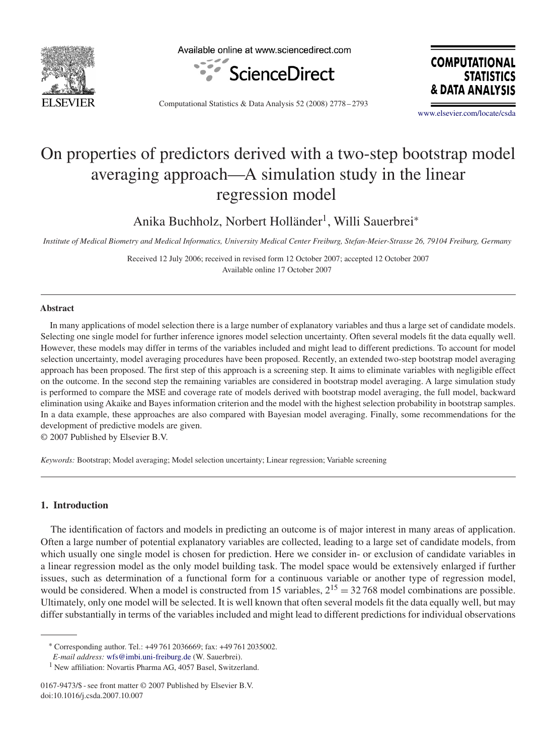

Available online at www.sciencedirect.com



**COMPUTATIONAL STATISTICS** & DATA ANALYSIS

Computational Statistics & Data Analysis 52 (2008) 2778 – 2793

[www.elsevier.com/locate/csda](http://www.elsevier.com/locate/csda)

# On properties of predictors derived with a two-step bootstrap model averaging approach—A simulation study in the linear regression model

Anika Buchholz, Norbert Holländer<sup>1</sup>, Willi Sauerbrei<sup>∗</sup>

*Institute of Medical Biometry and Medical Informatics, University Medical Center Freiburg, Stefan-Meier-Strasse 26, 79104 Freiburg, Germany*

Received 12 July 2006; received in revised form 12 October 2007; accepted 12 October 2007 Available online 17 October 2007

#### **Abstract**

In many applications of model selection there is a large number of explanatory variables and thus a large set of candidate models. Selecting one single model for further inference ignores model selection uncertainty. Often several models fit the data equally well. However, these models may differ in terms of the variables included and might lead to different predictions. To account for model selection uncertainty, model averaging procedures have been proposed. Recently, an extended two-step bootstrap model averaging approach has been proposed. The first step of this approach is a screening step. It aims to eliminate variables with negligible effect on the outcome. In the second step the remaining variables are considered in bootstrap model averaging. A large simulation study is performed to compare the MSE and coverage rate of models derived with bootstrap model averaging, the full model, backward elimination using Akaike and Bayes information criterion and the model with the highest selection probability in bootstrap samples. In a data example, these approaches are also compared with Bayesian model averaging. Finally, some recommendations for the development of predictive models are given.

© 2007 Published by Elsevier B.V.

*Keywords:* Bootstrap; Model averaging; Model selection uncertainty; Linear regression; Variable screening

### **1. Introduction**

The identification of factors and models in predicting an outcome is of major interest in many areas of application. Often a large number of potential explanatory variables are collected, leading to a large set of candidate models, from which usually one single model is chosen for prediction. Here we consider in- or exclusion of candidate variables in a linear regression model as the only model building task. The model space would be extensively enlarged if further issues, such as determination of a functional form for a continuous variable or another type of regression model, would be considered. When a model is constructed from 15 variables,  $2^{15} = 32,768$  model combinations are possible. Ultimately, only one model will be selected. It is well known that often several models fit the data equally well, but may differ substantially in terms of the variables included and might lead to different predictions for individual observations

<sup>∗</sup> Corresponding author. Tel.: +49 761 2036669; fax: +49 761 2035002.

*E-mail address:* [wfs@imbi.uni-freiburg.de](mailto:wfs@imbi.uni-freiburg.de) (W. Sauerbrei).

<sup>&</sup>lt;sup>1</sup> New affiliation: Novartis Pharma AG, 4057 Basel, Switzerland.

<sup>0167-9473/\$ -</sup> see front matter © 2007 Published by Elsevier B.V. doi:10.1016/j.csda.2007.10.007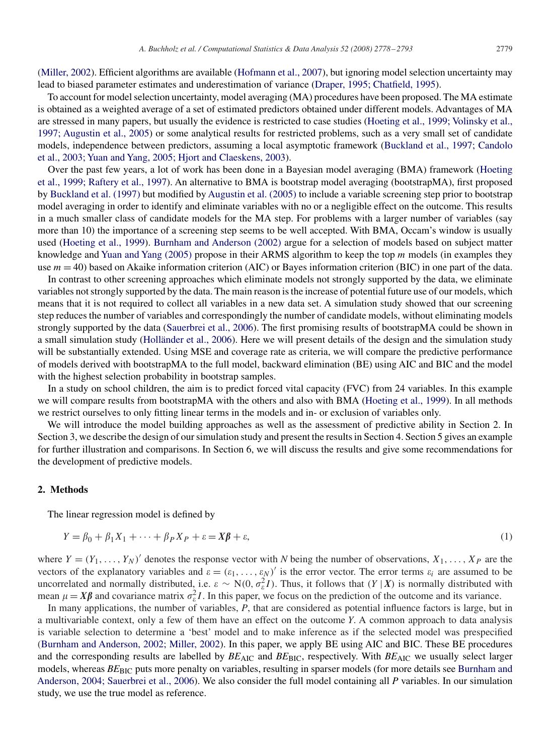[\(Miller, 2002\)](#page--1-0). Efficient algorithms are available [\(Hofmann et al., 2007\)](#page--1-0), but ignoring model selection uncertainty may lead to biased parameter estimates and underestimation of variance (Draper, 1995; Chatfield, 1995).

To account for model selection uncertainty, model averaging (MA) procedures have been proposed. The MA estimate is obtained as a weighted average of a set of estimated predictors obtained under different models. Advantages of MA are stressed in many papers, but usually the evidence is restricted to case studies (Hoeting et al., 1999; Volinsky et al., 1997; Augustin et al., 2005) or some analytical results for restricted problems, such as a very small set of candidate models, independence between predictors, assuming a local asymptotic framework (Buckland et al., 1997; Candolo et al., 2003; Yuan and Yang, 2005; Hjort and Claeskens, 2003).

Over the past few years, a lot of work has been done in a Bayesian model averaging (BMA) framework (Hoeting et al., 1999; Raftery et al., 1997). An alternative to BMA is bootstrap model averaging (bootstrapMA), first proposed by [Buckland et al. \(1997\)](#page--1-0) but modified by [Augustin et al. \(2005\)](#page--1-0) to include a variable screening step prior to bootstrap model averaging in order to identify and eliminate variables with no or a negligible effect on the outcome. This results in a much smaller class of candidate models for the MA step. For problems with a larger number of variables (say more than 10) the importance of a screening step seems to be well accepted. With BMA, Occam's window is usually used [\(Hoeting et al., 1999\)](#page--1-0). [Burnham and Anderson \(2002\)](#page--1-0) argue for a selection of models based on subject matter knowledge and Yuan and Yang  $(2005)$  propose in their ARMS algorithm to keep the top  $m$  models (in examples they use  $m = 40$ ) based on Akaike information criterion (AIC) or Bayes information criterion (BIC) in one part of the data.

In contrast to other screening approaches which eliminate models not strongly supported by the data, we eliminate variables not strongly supported by the data. The main reason is the increase of potential future use of our models, which means that it is not required to collect all variables in a new data set. A simulation study showed that our screening step reduces the number of variables and correspondingly the number of candidate models, without eliminating models strongly supported by the data [\(Sauerbrei et al., 2006\)](#page--1-0). The first promising results of bootstrapMA could be shown in a small simulation study [\(Holländer et al., 2006\)](#page--1-0). Here we will present details of the design and the simulation study will be substantially extended. Using MSE and coverage rate as criteria, we will compare the predictive performance of models derived with bootstrapMA to the full model, backward elimination (BE) using AIC and BIC and the model with the highest selection probability in bootstrap samples.

In a study on school children, the aim is to predict forced vital capacity (FVC) from 24 variables. In this example we will compare results from bootstrapMA with the others and also with BMA [\(Hoeting et al., 1999\)](#page--1-0). In all methods we restrict ourselves to only fitting linear terms in the models and in- or exclusion of variables only.

We will introduce the model building approaches as well as the assessment of predictive ability in Section 2. In Section 3, we describe the design of our simulation study and present the results in Section 4. Section 5 gives an example for further illustration and comparisons. In Section 6, we will discuss the results and give some recommendations for the development of predictive models.

### **2. Methods**

The linear regression model is defined by

$$
Y = \beta_0 + \beta_1 X_1 + \dots + \beta_P X_P + \varepsilon = X\beta + \varepsilon,\tag{1}
$$

where  $Y = (Y_1, \ldots, Y_N)'$  denotes the response vector with *N* being the number of observations,  $X_1, \ldots, X_P$  are the vectors of the explanatory variables and  $\varepsilon = (\varepsilon_1, \ldots, \varepsilon_N)'$  is the error vector. The error terms  $\varepsilon_i$  are assumed to be uncorrelated and normally distributed, i.e.  $\varepsilon \sim N(0, \sigma_{\varepsilon}^2 I)$ . Thus, it follows that  $(Y | X)$  is normally distributed with mean  $\mu = X\beta$  and covariance matrix  $\sigma_{\varepsilon}^2 I$ . In this paper, we focus on the prediction of the outcome and its variance.

In many applications, the number of variables, *P*, that are considered as potential influence factors is large, but in a multivariable context, only a few of them have an effect on the outcome *Y*. A common approach to data analysis is variable selection to determine a 'best' model and to make inference as if the selected model was prespecified (Burnham and Anderson, 2002; Miller, 2002). In this paper, we apply BE using AIC and BIC. These BE procedures and the corresponding results are labelled by  $BE_{\text{AIC}}$  and  $BE_{\text{BIC}}$ , respectively. With  $BE_{\text{AIC}}$  we usually select larger models, whereas *BE*<sub>BIC</sub> puts more penalty on variables, resulting in sparser models (for more details see Burnham and Anderson, 2004; Sauerbrei et al., 2006). We also consider the full model containing all *P* variables. In our simulation study, we use the true model as reference.